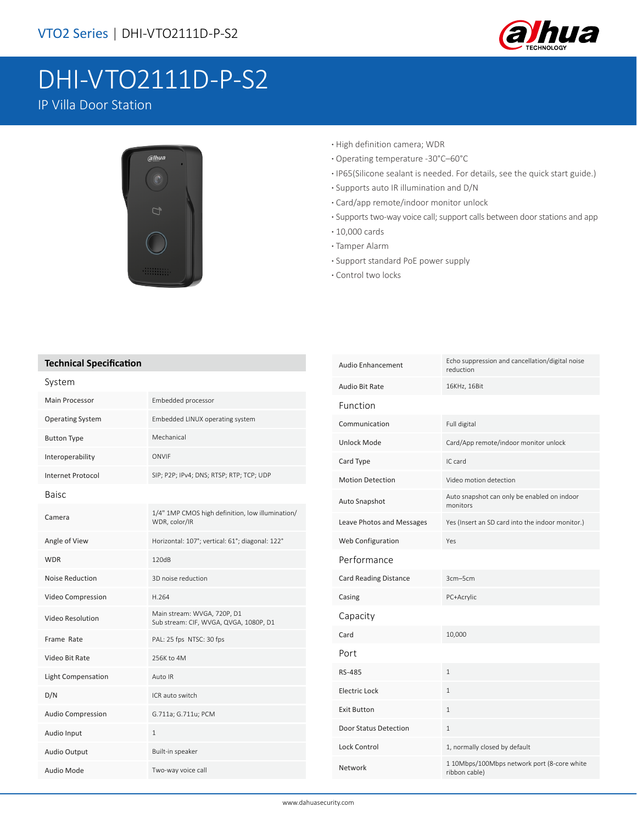

# DHI-VTO2111D-P-S2

IP Villa Door Station



- **·** High definition camera; WDR
- **·** Operating temperature -30°C–60°C
- **·** IP65(Silicone sealant is needed. For details, see the quick start guide.)
- **·** Supports auto IR illumination and D/N
- **·** Card/app remote/indoor monitor unlock
- **·** Supports two-way voice call; support calls between door stations and app
- **·** 10,000 cards
- **·** Tamper Alarm
- **·** Support standard PoE power supply
- **·** Control two locks

#### **Technical Specification**

| System                    |                                                                       |
|---------------------------|-----------------------------------------------------------------------|
| <b>Main Processor</b>     | Embedded processor                                                    |
| <b>Operating System</b>   | Embedded LINUX operating system                                       |
| <b>Button Type</b>        | Mechanical                                                            |
| Interoperability          | ONVIF                                                                 |
| Internet Protocol         | SIP; P2P; IPv4; DNS; RTSP; RTP; TCP; UDP                              |
| <b>Baisc</b>              |                                                                       |
| Camera                    | 1/4" 1MP CMOS high definition, low illumination/<br>WDR, color/IR     |
| Angle of View             | Horizontal: 107°; vertical: 61°; diagonal: 122°                       |
| <b>WDR</b>                | 120dB                                                                 |
| <b>Noise Reduction</b>    | 3D noise reduction                                                    |
| Video Compression         | H.264                                                                 |
| Video Resolution          | Main stream: WVGA, 720P, D1<br>Sub stream: CIF, WVGA, QVGA, 1080P, D1 |
| Frame Rate                | PAL: 25 fps NTSC: 30 fps                                              |
| Video Bit Rate            | 256K to 4M                                                            |
| <b>Light Compensation</b> | Auto IR                                                               |
| D/N                       | ICR auto switch                                                       |
| <b>Audio Compression</b>  | G.711a; G.711u; PCM                                                   |
| Audio Input               | $\mathbf{1}$                                                          |
| Audio Output              | Built-in speaker                                                      |
| Audio Mode                | Two-way voice call                                                    |

| Audio Enhancement            | Echo suppression and cancellation/digital noise<br>reduction |
|------------------------------|--------------------------------------------------------------|
| <b>Audio Bit Rate</b>        | 16KHz, 16Bit                                                 |
| Function                     |                                                              |
| Communication                | Full digital                                                 |
| Unlock Mode                  | Card/App remote/indoor monitor unlock                        |
| Card Type                    | IC card                                                      |
| <b>Motion Detection</b>      | Video motion detection                                       |
| Auto Snapshot                | Auto snapshot can only be enabled on indoor<br>monitors      |
| Leave Photos and Messages    | Yes (Insert an SD card into the indoor monitor.)             |
| Web Configuration            | Yes                                                          |
| Performance                  |                                                              |
| <b>Card Reading Distance</b> | 3cm-5cm                                                      |
| Casing                       | PC+Acrylic                                                   |
| Capacity                     |                                                              |
| Card                         | 10,000                                                       |
| Port                         |                                                              |
| RS-485                       | $\mathbf{1}$                                                 |
| Electric Lock                | 1                                                            |
| <b>Exit Button</b>           | $\mathbf{1}$                                                 |
| Door Status Detection        | $\mathbf{1}$                                                 |
| <b>Lock Control</b>          | 1, normally closed by default                                |
| Network                      | 1 10Mbps/100Mbps network port (8-core white<br>ribbon cable) |